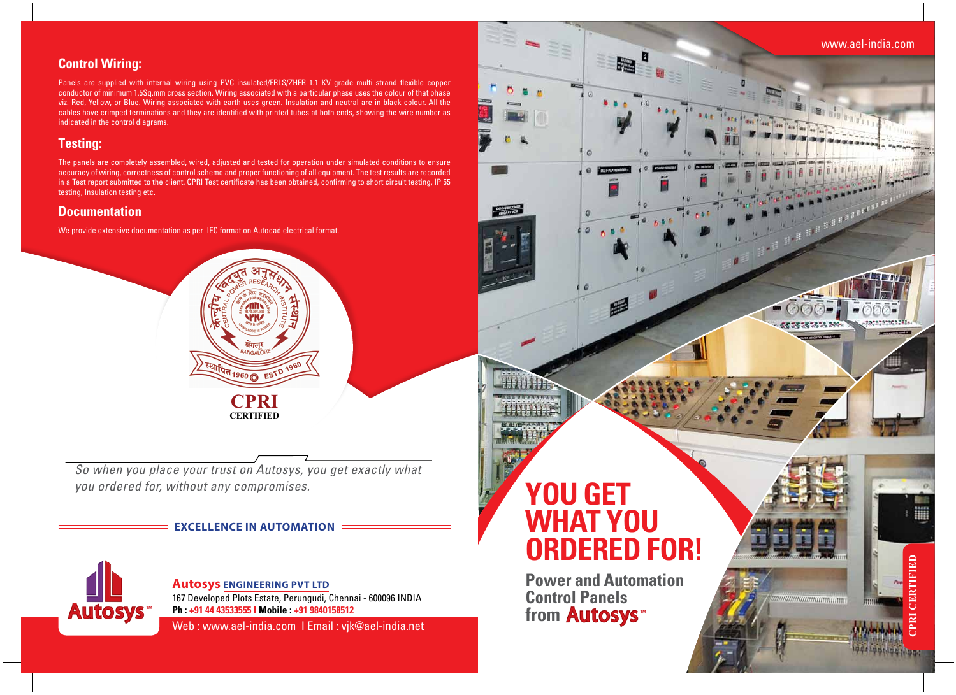**Power and Automation Control Panels** from **Autosys** 

# **you get what you ordered for!**



# **Control Wiring:**

Panels are supplied with internal wiring using PVC insulated/FRLS/ZHFR 1.1 KV grade multi strand flexible copper conductor of minimum 1.5Sq.mm cross section. Wiring associated with a particular phase uses the colour of that phase viz. Red, Yellow, or Blue. Wiring associated with earth uses green. Insulation and neutral are in black colour. All the cables have crimped terminations and they are identified with printed tubes at both ends, showing the wire number as indicated in the control diagrams.

# **Testing:**

The panels are completely assembled, wired, adjusted and tested for operation under simulated conditions to ensure accuracy of wiring, correctness of control scheme and proper functioning of all equipment. The test results are recorded in a Test report submitted to the client. CPRI Test certificate has been obtained, confirming to short circuit testing, IP 55 testing, Insulation testing etc.

# **Documentation**

We provide extensive documentation as per IEC format on Autocad electrical format.

Web : www.ael-india.com I Email : vjk@ael-india.net



**Autosys Engineering Pvt Ltd** 167 Developed Plots Estate, Perungudi, Chennai - 600096 INDIA **Ph : +91 44 43533555 I Mobile : +91 9840158512**

### **Excellence in Automation**



**CPRI Certified**

**TH 1960 O EST D**